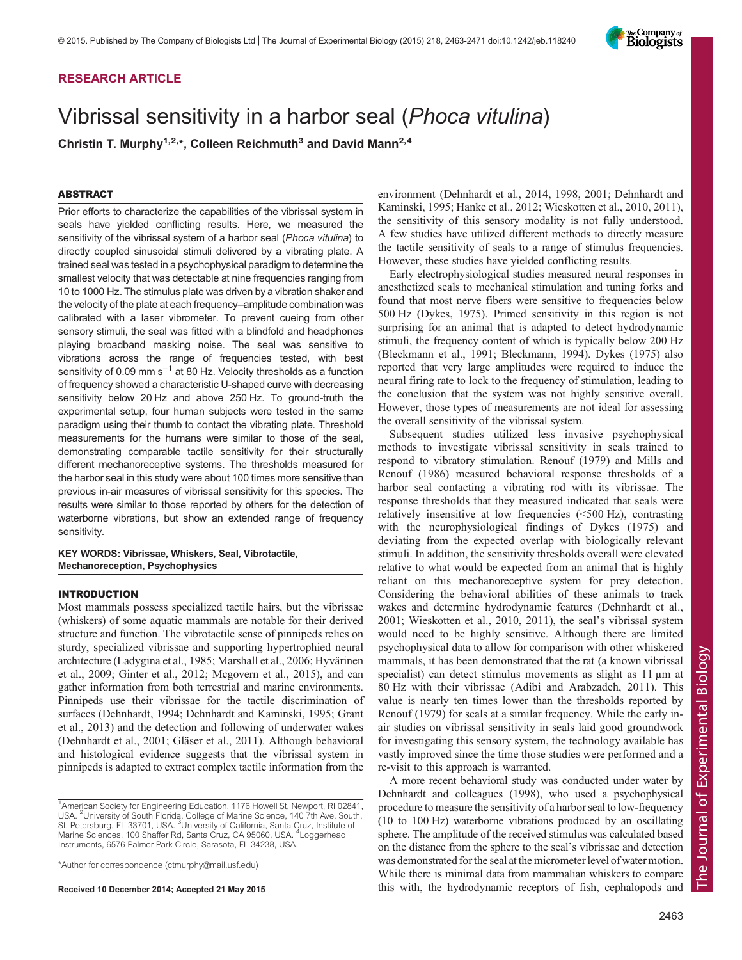### RESEARCH ARTICLE

# Vibrissal sensitivity in a harbor seal (Phoca vitulina)

Christin T. Murphy<sup>1,2,\*</sup>, Colleen Reichmuth<sup>3</sup> and David Mann<sup>2,4</sup>

#### ABSTRACT

Prior efforts to characterize the capabilities of the vibrissal system in seals have yielded conflicting results. Here, we measured the sensitivity of the vibrissal system of a harbor seal (Phoca vitulina) to directly coupled sinusoidal stimuli delivered by a vibrating plate. A trained seal was tested in a psychophysical paradigm to determine the smallest velocity that was detectable at nine frequencies ranging from 10 to 1000 Hz. The stimulus plate was driven by a vibration shaker and the velocity of the plate at each frequency–amplitude combination was calibrated with a laser vibrometer. To prevent cueing from other sensory stimuli, the seal was fitted with a blindfold and headphones playing broadband masking noise. The seal was sensitive to vibrations across the range of frequencies tested, with best sensitivity of 0.09 mm s<sup>-1</sup> at 80 Hz. Velocity thresholds as a function of frequency showed a characteristic U-shaped curve with decreasing sensitivity below 20 Hz and above 250 Hz. To ground-truth the experimental setup, four human subjects were tested in the same paradigm using their thumb to contact the vibrating plate. Threshold measurements for the humans were similar to those of the seal, demonstrating comparable tactile sensitivity for their structurally different mechanoreceptive systems. The thresholds measured for the harbor seal in this study were about 100 times more sensitive than previous in-air measures of vibrissal sensitivity for this species. The results were similar to those reported by others for the detection of waterborne vibrations, but show an extended range of frequency sensitivity.

#### KEY WORDS: Vibrissae, Whiskers, Seal, Vibrotactile, Mechanoreception, Psychophysics

#### INTRODUCTION

Most mammals possess specialized tactile hairs, but the vibrissae (whiskers) of some aquatic mammals are notable for their derived structure and function. The vibrotactile sense of pinnipeds relies on sturdy, specialized vibrissae and supporting hypertrophied neural architecture ([Ladygina et al., 1985](#page-8-0); [Marshall et al., 2006; Hyvärinen](#page-8-0) [et al., 2009](#page-8-0); [Ginter et al., 2012](#page-7-0); [Mcgovern et al., 2015\)](#page-8-0), and can gather information from both terrestrial and marine environments. Pinnipeds use their vibrissae for the tactile discrimination of surfaces [\(Dehnhardt, 1994](#page-7-0); [Dehnhardt and Kaminski, 1995](#page-7-0); [Grant](#page-7-0) [et al., 2013\)](#page-7-0) and the detection and following of underwater wakes [\(Dehnhardt et al., 2001](#page-7-0); [Gläser et al., 2011](#page-7-0)). Although behavioral and histological evidence suggests that the vibrissal system in pinnipeds is adapted to extract complex tactile information from the

\*Author for correspondence [\(ctmurphy@mail.usf.edu\)](mailto:ctmurphy@mail.usf.edu)

environment [\(Dehnhardt et al., 2014, 1998, 2001; Dehnhardt and](#page-7-0) [Kaminski, 1995](#page-7-0); [Hanke et al., 2012; Wieskotten et al., 2010, 2011\)](#page-8-0), the sensitivity of this sensory modality is not fully understood. A few studies have utilized different methods to directly measure the tactile sensitivity of seals to a range of stimulus frequencies. However, these studies have yielded conflicting results.

Early electrophysiological studies measured neural responses in anesthetized seals to mechanical stimulation and tuning forks and found that most nerve fibers were sensitive to frequencies below 500 Hz [\(Dykes, 1975](#page-7-0)). Primed sensitivity in this region is not surprising for an animal that is adapted to detect hydrodynamic stimuli, the frequency content of which is typically below 200 Hz [\(Bleckmann et al., 1991](#page-7-0); [Bleckmann, 1994](#page-7-0)). [Dykes \(1975\)](#page-7-0) also reported that very large amplitudes were required to induce the neural firing rate to lock to the frequency of stimulation, leading to the conclusion that the system was not highly sensitive overall. However, those types of measurements are not ideal for assessing the overall sensitivity of the vibrissal system.

Subsequent studies utilized less invasive psychophysical methods to investigate vibrissal sensitivity in seals trained to respond to vibratory stimulation. [Renouf \(1979\)](#page-8-0) and [Mills and](#page-8-0) [Renouf \(1986\)](#page-8-0) measured behavioral response thresholds of a harbor seal contacting a vibrating rod with its vibrissae. The response thresholds that they measured indicated that seals were relatively insensitive at low frequencies (<500 Hz), contrasting with the neurophysiological findings of [Dykes \(1975\)](#page-7-0) and deviating from the expected overlap with biologically relevant stimuli. In addition, the sensitivity thresholds overall were elevated relative to what would be expected from an animal that is highly reliant on this mechanoreceptive system for prey detection. Considering the behavioral abilities of these animals to track wakes and determine hydrodynamic features ([Dehnhardt et al.,](#page-7-0) [2001](#page-7-0); [Wieskotten et al., 2010, 2011](#page-8-0)), the seal's vibrissal system would need to be highly sensitive. Although there are limited psychophysical data to allow for comparison with other whiskered mammals, it has been demonstrated that the rat (a known vibrissal specialist) can detect stimulus movements as slight as 11  $\mu$ m at 80 Hz with their vibrissae ([Adibi and Arabzadeh, 2011\)](#page-7-0). This value is nearly ten times lower than the thresholds reported by [Renouf \(1979\)](#page-8-0) for seals at a similar frequency. While the early inair studies on vibrissal sensitivity in seals laid good groundwork for investigating this sensory system, the technology available has vastly improved since the time those studies were performed and a re-visit to this approach is warranted.

A more recent behavioral study was conducted under water by [Dehnhardt and colleagues \(1998\)](#page-7-0), who used a psychophysical procedure to measure the sensitivity of a harbor seal to low-frequency (10 to 100 Hz) waterborne vibrations produced by an oscillating sphere. The amplitude of the received stimulus was calculated based on the distance from the sphere to the seal's vibrissae and detection was demonstrated for the seal at the micrometer level of water motion. While there is minimal data from mammalian whiskers to compare Received 10 December 2014; Accepted 21 May 2015 this with, the hydrodynamic receptors of fish, cephalopods and



<sup>&</sup>lt;sup>1</sup> American Society for Engineering Education, 1176 Howell St, Newport, RI 02841, USA. <sup>2</sup>University of South Florida, College of Marine Science, 140 7th Ave. South,<br>St. Petersburg, FL 33701, USA. <sup>3</sup>University of California, Santa Cruz, Institute of Marine Sciences, 100 Shaffer Rd, Santa Cruz, CA 95060, USA. <sup>4</sup> Loggerhead Instruments, 6576 Palmer Park Circle, Sarasota, FL 34238, USA.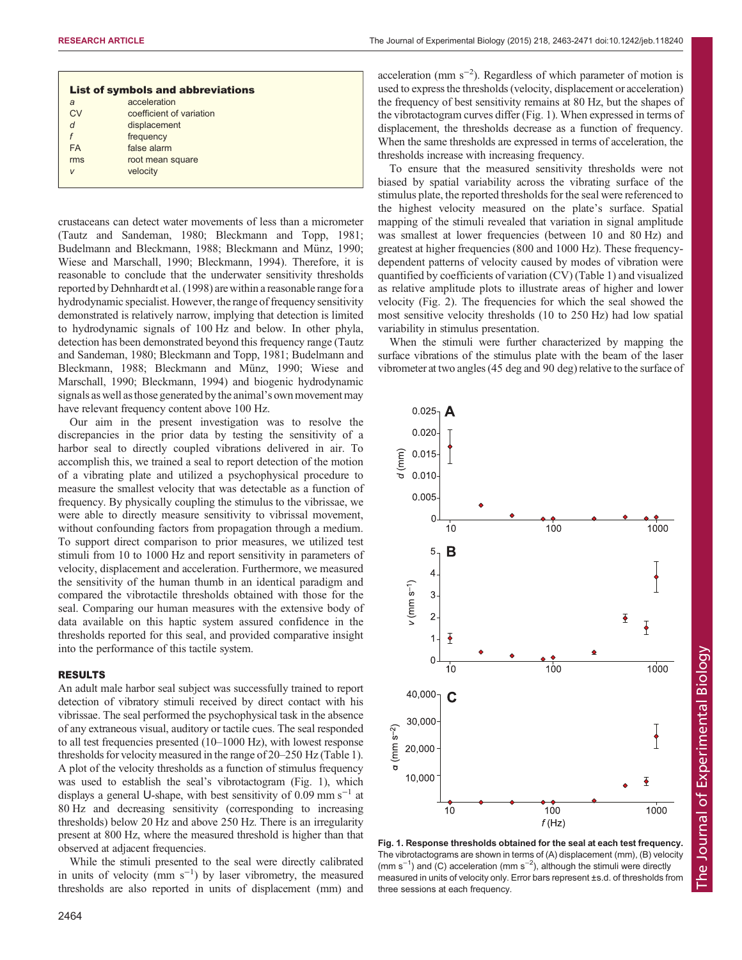| <b>List of symbols and abbreviations</b> |                          |  |  |  |  |
|------------------------------------------|--------------------------|--|--|--|--|
| a                                        | acceleration             |  |  |  |  |
| CV                                       | coefficient of variation |  |  |  |  |
| d                                        | displacement             |  |  |  |  |
| f                                        | frequency                |  |  |  |  |
| <b>FA</b>                                | false alarm              |  |  |  |  |
| rms                                      | root mean square         |  |  |  |  |
| V                                        | velocity                 |  |  |  |  |
|                                          |                          |  |  |  |  |

crustaceans can detect water movements of less than a micrometer [\(Tautz and Sandeman, 1980](#page-8-0); [Bleckmann and Topp, 1981](#page-7-0); [Budelmann and Bleckmann, 1988](#page-7-0); [Bleckmann and Münz, 1990](#page-7-0); [Wiese and Marschall, 1990](#page-8-0); [Bleckmann, 1994\)](#page-7-0). Therefore, it is reasonable to conclude that the underwater sensitivity thresholds reported by [Dehnhardt et al. \(1998\)](#page-7-0) are within a reasonable range for a hydrodynamic specialist. However, the range of frequency sensitivity demonstrated is relatively narrow, implying that detection is limited to hydrodynamic signals of 100 Hz and below. In other phyla, detection has been demonstrated beyond this frequency range [\(Tautz](#page-8-0) [and Sandeman, 1980;](#page-8-0) [Bleckmann and Topp, 1981; Budelmann and](#page-7-0) [Bleckmann, 1988; Bleckmann and Münz, 1990](#page-7-0); [Wiese and](#page-8-0) [Marschall, 1990](#page-8-0); [Bleckmann, 1994](#page-7-0)) and biogenic hydrodynamic signals as well asthose generated by the animal's own movement may have relevant frequency content above 100 Hz.

Our aim in the present investigation was to resolve the discrepancies in the prior data by testing the sensitivity of a harbor seal to directly coupled vibrations delivered in air. To accomplish this, we trained a seal to report detection of the motion of a vibrating plate and utilized a psychophysical procedure to measure the smallest velocity that was detectable as a function of frequency. By physically coupling the stimulus to the vibrissae, we were able to directly measure sensitivity to vibrissal movement, without confounding factors from propagation through a medium. To support direct comparison to prior measures, we utilized test stimuli from 10 to 1000 Hz and report sensitivity in parameters of velocity, displacement and acceleration. Furthermore, we measured the sensitivity of the human thumb in an identical paradigm and compared the vibrotactile thresholds obtained with those for the seal. Comparing our human measures with the extensive body of data available on this haptic system assured confidence in the thresholds reported for this seal, and provided comparative insight into the performance of this tactile system.

#### RESULTS

An adult male harbor seal subject was successfully trained to report detection of vibratory stimuli received by direct contact with his vibrissae. The seal performed the psychophysical task in the absence of any extraneous visual, auditory or tactile cues. The seal responded to all test frequencies presented (10–1000 Hz), with lowest response thresholds for velocity measured in the range of 20–250 Hz [\(Table 1\)](#page-2-0). A plot of the velocity thresholds as a function of stimulus frequency was used to establish the seal's vibrotactogram (Fig. 1), which displays a general U-shape, with best sensitivity of 0.09 mm s<sup> $-1$ </sup> at 80 Hz and decreasing sensitivity (corresponding to increasing thresholds) below 20 Hz and above 250 Hz. There is an irregularity present at 800 Hz, where the measured threshold is higher than that observed at adjacent frequencies.

While the stimuli presented to the seal were directly calibrated in units of velocity (mm s−<sup>1</sup> ) by laser vibrometry, the measured thresholds are also reported in units of displacement (mm) and

acceleration (mm s−<sup>2</sup> ). Regardless of which parameter of motion is used to express the thresholds (velocity, displacement or acceleration) the frequency of best sensitivity remains at 80 Hz, but the shapes of the vibrotactogram curves differ (Fig. 1). When expressed in terms of displacement, the thresholds decrease as a function of frequency. When the same thresholds are expressed in terms of acceleration, the thresholds increase with increasing frequency.

To ensure that the measured sensitivity thresholds were not biased by spatial variability across the vibrating surface of the stimulus plate, the reported thresholds for the seal were referenced to the highest velocity measured on the plate's surface. Spatial mapping of the stimuli revealed that variation in signal amplitude was smallest at lower frequencies (between 10 and 80 Hz) and greatest at higher frequencies (800 and 1000 Hz). These frequencydependent patterns of velocity caused by modes of vibration were quantified by coefficients of variation (CV) ([Table 1](#page-2-0)) and visualized as relative amplitude plots to illustrate areas of higher and lower velocity ([Fig. 2](#page-2-0)). The frequencies for which the seal showed the most sensitive velocity thresholds (10 to 250 Hz) had low spatial variability in stimulus presentation.

When the stimuli were further characterized by mapping the surface vibrations of the stimulus plate with the beam of the laser vibrometer at two angles (45 deg and 90 deg) relative to the surface of



Fig. 1. Response thresholds obtained for the seal at each test frequency. The vibrotactograms are shown in terms of (A) displacement (mm), (B) velocity (mm s<sup>-1</sup>) and (C) acceleration (mm s<sup>-2</sup>), although the stimuli were directly measured in units of velocity only. Error bars represent ±s.d. of thresholds from three sessions at each frequency.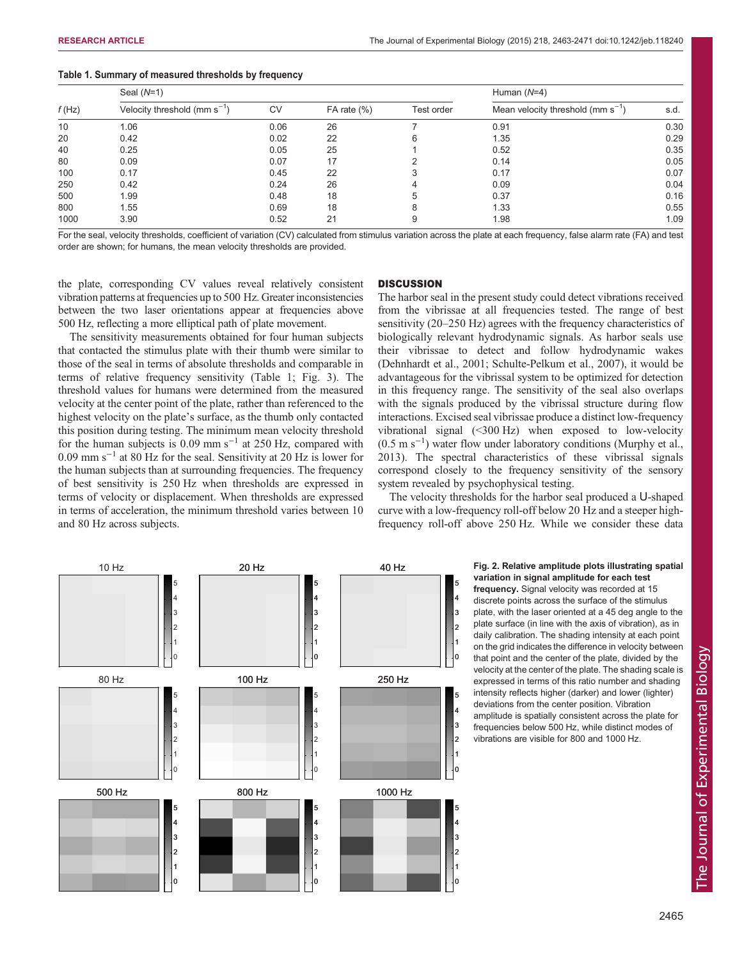| f(Hz) | Seal $(N=1)$                      |      |                |            | Human $(N=4)$                          |      |
|-------|-----------------------------------|------|----------------|------------|----------------------------------------|------|
|       | Velocity threshold (mm $s^{-1}$ ) | CV   | FA rate $(\%)$ | Test order | Mean velocity threshold (mm $s^{-1}$ ) | s.d. |
| 10    | 1.06                              | 0.06 | 26             |            | 0.91                                   | 0.30 |
| 20    | 0.42                              | 0.02 | 22             | 6          | 1.35                                   | 0.29 |
| 40    | 0.25                              | 0.05 | 25             |            | 0.52                                   | 0.35 |
| 80    | 0.09                              | 0.07 | 17             |            | 0.14                                   | 0.05 |
| 100   | 0.17                              | 0.45 | 22             | 3          | 0.17                                   | 0.07 |
| 250   | 0.42                              | 0.24 | 26             | 4          | 0.09                                   | 0.04 |
| 500   | 1.99                              | 0.48 | 18             | 5          | 0.37                                   | 0.16 |
| 800   | 1.55                              | 0.69 | 18             | 8          | 1.33                                   | 0.55 |
| 1000  | 3.90                              | 0.52 | 21             | 9          | 1.98                                   | 1.09 |

#### <span id="page-2-0"></span>Table 1. Summary of measured thresholds by frequency

For the seal, velocity thresholds, coefficient of variation (CV) calculated from stimulus variation across the plate at each frequency, false alarm rate (FA) and test order are shown; for humans, the mean velocity thresholds are provided.

the plate, corresponding CV values reveal relatively consistent vibration patterns at frequencies up to 500 Hz. Greater inconsistencies between the two laser orientations appear at frequencies above 500 Hz, reflecting a more elliptical path of plate movement.

The sensitivity measurements obtained for four human subjects that contacted the stimulus plate with their thumb were similar to those of the seal in terms of absolute thresholds and comparable in terms of relative frequency sensitivity (Table 1; [Fig. 3\)](#page-3-0). The threshold values for humans were determined from the measured velocity at the center point of the plate, rather than referenced to the highest velocity on the plate's surface, as the thumb only contacted this position during testing. The minimum mean velocity threshold for the human subjects is  $0.09$  mm s<sup>-1</sup> at 250 Hz, compared with 0.09 mm s−<sup>1</sup> at 80 Hz for the seal. Sensitivity at 20 Hz is lower for the human subjects than at surrounding frequencies. The frequency of best sensitivity is 250 Hz when thresholds are expressed in terms of velocity or displacement. When thresholds are expressed in terms of acceleration, the minimum threshold varies between 10 and 80 Hz across subjects.

#### **DISCUSSION**

The harbor seal in the present study could detect vibrations received from the vibrissae at all frequencies tested. The range of best sensitivity (20–250 Hz) agrees with the frequency characteristics of biologically relevant hydrodynamic signals. As harbor seals use their vibrissae to detect and follow hydrodynamic wakes [\(Dehnhardt et al., 2001;](#page-7-0) [Schulte-Pelkum et al., 2007](#page-8-0)), it would be advantageous for the vibrissal system to be optimized for detection in this frequency range. The sensitivity of the seal also overlaps with the signals produced by the vibrissal structure during flow interactions. Excised seal vibrissae produce a distinct low-frequency vibrational signal (<300 Hz) when exposed to low-velocity (0.5 m s−<sup>1</sup> ) water flow under laboratory conditions [\(Murphy et al.,](#page-8-0) [2013\)](#page-8-0). The spectral characteristics of these vibrissal signals correspond closely to the frequency sensitivity of the sensory system revealed by psychophysical testing.

The velocity thresholds for the harbor seal produced a U-shaped curve with a low-frequency roll-off below 20 Hz and a steeper highfrequency roll-off above 250 Hz. While we consider these data



## variation in signal amplitude for each test

frequency. Signal velocity was recorded at 15 discrete points across the surface of the stimulus plate, with the laser oriented at a 45 deg angle to the plate surface (in line with the axis of vibration), as in daily calibration. The shading intensity at each point on the grid indicates the difference in velocity between that point and the center of the plate, divided by the velocity at the center of the plate. The shading scale is expressed in terms of this ratio number and shading intensity reflects higher (darker) and lower (lighter) deviations from the center position. Vibration amplitude is spatially consistent across the plate for frequencies below 500 Hz, while distinct modes of vibrations are visible for 800 and 1000 Hz.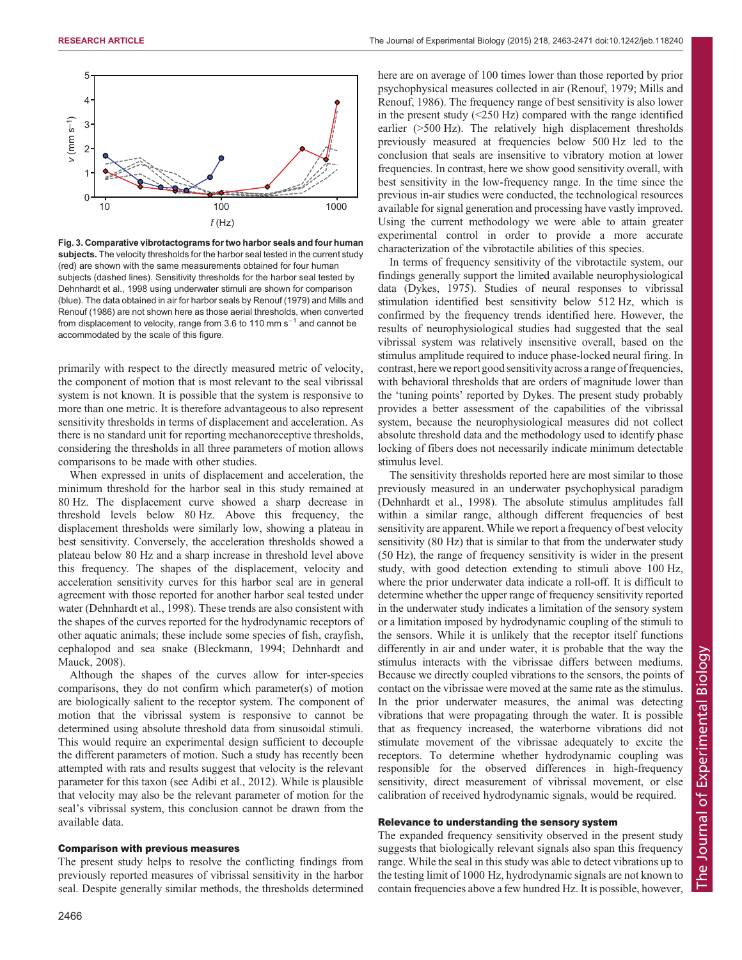<span id="page-3-0"></span>

Fig. 3. Comparative vibrotactograms for two harbor seals and four human subjects. The velocity thresholds for the harbor seal tested in the current study (red) are shown with the same measurements obtained for four human subjects (dashed lines). Sensitivity thresholds for the harbor seal tested by [Dehnhardt et al., 1998](#page-7-0) using underwater stimuli are shown for comparison (blue). The data obtained in air for harbor seals by [Renouf \(1979\)](#page-8-0) and [Mills and](#page-8-0) [Renouf \(1986\)](#page-8-0) are not shown here as those aerial thresholds, when converted from displacement to velocity, range from 3.6 to 110 mm s<sup> $-1$ </sup> and cannot be accommodated by the scale of this figure.

primarily with respect to the directly measured metric of velocity, the component of motion that is most relevant to the seal vibrissal system is not known. It is possible that the system is responsive to more than one metric. It is therefore advantageous to also represent sensitivity thresholds in terms of displacement and acceleration. As there is no standard unit for reporting mechanoreceptive thresholds, considering the thresholds in all three parameters of motion allows comparisons to be made with other studies.

When expressed in units of displacement and acceleration, the minimum threshold for the harbor seal in this study remained at 80 Hz. The displacement curve showed a sharp decrease in threshold levels below 80 Hz. Above this frequency, the displacement thresholds were similarly low, showing a plateau in best sensitivity. Conversely, the acceleration thresholds showed a plateau below 80 Hz and a sharp increase in threshold level above this frequency. The shapes of the displacement, velocity and acceleration sensitivity curves for this harbor seal are in general agreement with those reported for another harbor seal tested under water [\(Dehnhardt et al., 1998\)](#page-7-0). These trends are also consistent with the shapes of the curves reported for the hydrodynamic receptors of other aquatic animals; these include some species of fish, crayfish, cephalopod and sea snake [\(Bleckmann, 1994](#page-7-0); [Dehnhardt and](#page-7-0) [Mauck, 2008](#page-7-0)).

Although the shapes of the curves allow for inter-species comparisons, they do not confirm which parameter(s) of motion are biologically salient to the receptor system. The component of motion that the vibrissal system is responsive to cannot be determined using absolute threshold data from sinusoidal stimuli. This would require an experimental design sufficient to decouple the different parameters of motion. Such a study has recently been attempted with rats and results suggest that velocity is the relevant parameter for this taxon (see [Adibi et al., 2012\)](#page-7-0). While is plausible that velocity may also be the relevant parameter of motion for the seal's vibrissal system, this conclusion cannot be drawn from the available data.

#### Comparison with previous measures

The present study helps to resolve the conflicting findings from previously reported measures of vibrissal sensitivity in the harbor seal. Despite generally similar methods, the thresholds determined here are on average of 100 times lower than those reported by prior psychophysical measures collected in air [\(Renouf, 1979; Mills and](#page-8-0) [Renouf, 1986](#page-8-0)). The frequency range of best sensitivity is also lower in the present study  $(<250$  Hz) compared with the range identified earlier (>500 Hz). The relatively high displacement thresholds previously measured at frequencies below 500 Hz led to the conclusion that seals are insensitive to vibratory motion at lower frequencies. In contrast, here we show good sensitivity overall, with best sensitivity in the low-frequency range. In the time since the previous in-air studies were conducted, the technological resources available for signal generation and processing have vastly improved. Using the current methodology we were able to attain greater experimental control in order to provide a more accurate characterization of the vibrotactile abilities of this species.

In terms of frequency sensitivity of the vibrotactile system, our findings generally support the limited available neurophysiological data ([Dykes, 1975](#page-7-0)). Studies of neural responses to vibrissal stimulation identified best sensitivity below 512 Hz, which is confirmed by the frequency trends identified here. However, the results of neurophysiological studies had suggested that the seal vibrissal system was relatively insensitive overall, based on the stimulus amplitude required to induce phase-locked neural firing. In contrast, here we report good sensitivity across a range of frequencies, with behavioral thresholds that are orders of magnitude lower than the 'tuning points' reported by Dykes. The present study probably provides a better assessment of the capabilities of the vibrissal system, because the neurophysiological measures did not collect absolute threshold data and the methodology used to identify phase locking of fibers does not necessarily indicate minimum detectable stimulus level.

The sensitivity thresholds reported here are most similar to those previously measured in an underwater psychophysical paradigm [\(Dehnhardt et al., 1998](#page-7-0)). The absolute stimulus amplitudes fall within a similar range, although different frequencies of best sensitivity are apparent. While we report a frequency of best velocity sensitivity (80 Hz) that is similar to that from the underwater study (50 Hz), the range of frequency sensitivity is wider in the present study, with good detection extending to stimuli above 100 Hz, where the prior underwater data indicate a roll-off. It is difficult to determine whether the upper range of frequency sensitivity reported in the underwater study indicates a limitation of the sensory system or a limitation imposed by hydrodynamic coupling of the stimuli to the sensors. While it is unlikely that the receptor itself functions differently in air and under water, it is probable that the way the stimulus interacts with the vibrissae differs between mediums. Because we directly coupled vibrations to the sensors, the points of contact on the vibrissae were moved at the same rate as the stimulus. In the prior underwater measures, the animal was detecting vibrations that were propagating through the water. It is possible that as frequency increased, the waterborne vibrations did not stimulate movement of the vibrissae adequately to excite the receptors. To determine whether hydrodynamic coupling was responsible for the observed differences in high-frequency sensitivity, direct measurement of vibrissal movement, or else calibration of received hydrodynamic signals, would be required.

#### Relevance to understanding the sensory system

The expanded frequency sensitivity observed in the present study suggests that biologically relevant signals also span this frequency range. While the seal in this study was able to detect vibrations up to the testing limit of 1000 Hz, hydrodynamic signals are not known to contain frequencies above a few hundred Hz. It is possible, however,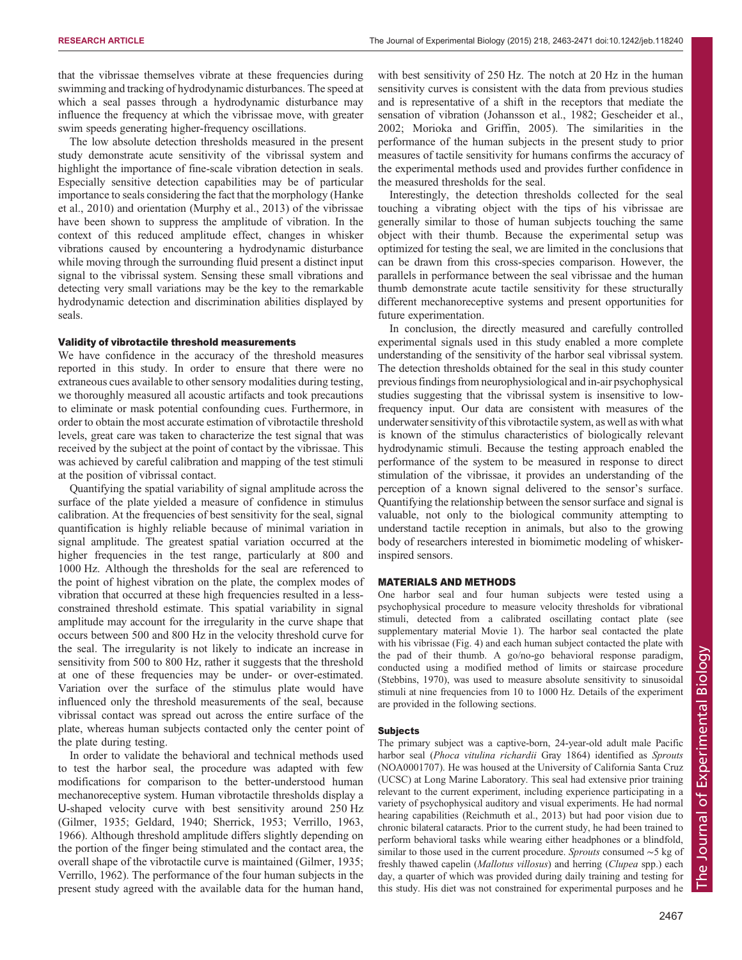that the vibrissae themselves vibrate at these frequencies during swimming and tracking of hydrodynamic disturbances. The speed at which a seal passes through a hydrodynamic disturbance may influence the frequency at which the vibrissae move, with greater swim speeds generating higher-frequency oscillations.

The low absolute detection thresholds measured in the present study demonstrate acute sensitivity of the vibrissal system and highlight the importance of fine-scale vibration detection in seals. Especially sensitive detection capabilities may be of particular importance to seals considering the fact that the morphology ([Hanke](#page-7-0) [et al., 2010\)](#page-7-0) and orientation ([Murphy et al., 2013\)](#page-8-0) of the vibrissae have been shown to suppress the amplitude of vibration. In the context of this reduced amplitude effect, changes in whisker vibrations caused by encountering a hydrodynamic disturbance while moving through the surrounding fluid present a distinct input signal to the vibrissal system. Sensing these small vibrations and detecting very small variations may be the key to the remarkable hydrodynamic detection and discrimination abilities displayed by seals.

#### Validity of vibrotactile threshold measurements

We have confidence in the accuracy of the threshold measures reported in this study. In order to ensure that there were no extraneous cues available to other sensory modalities during testing, we thoroughly measured all acoustic artifacts and took precautions to eliminate or mask potential confounding cues. Furthermore, in order to obtain the most accurate estimation of vibrotactile threshold levels, great care was taken to characterize the test signal that was received by the subject at the point of contact by the vibrissae. This was achieved by careful calibration and mapping of the test stimuli at the position of vibrissal contact.

Quantifying the spatial variability of signal amplitude across the surface of the plate yielded a measure of confidence in stimulus calibration. At the frequencies of best sensitivity for the seal, signal quantification is highly reliable because of minimal variation in signal amplitude. The greatest spatial variation occurred at the higher frequencies in the test range, particularly at 800 and 1000 Hz. Although the thresholds for the seal are referenced to the point of highest vibration on the plate, the complex modes of vibration that occurred at these high frequencies resulted in a lessconstrained threshold estimate. This spatial variability in signal amplitude may account for the irregularity in the curve shape that occurs between 500 and 800 Hz in the velocity threshold curve for the seal. The irregularity is not likely to indicate an increase in sensitivity from 500 to 800 Hz, rather it suggests that the threshold at one of these frequencies may be under- or over-estimated. Variation over the surface of the stimulus plate would have influenced only the threshold measurements of the seal, because vibrissal contact was spread out across the entire surface of the plate, whereas human subjects contacted only the center point of the plate during testing.

In order to validate the behavioral and technical methods used to test the harbor seal, the procedure was adapted with few modifications for comparison to the better-understood human mechanoreceptive system. Human vibrotactile thresholds display a U-shaped velocity curve with best sensitivity around 250 Hz [\(Gilmer, 1935](#page-7-0); [Geldard, 1940](#page-7-0); [Sherrick, 1953](#page-8-0); [Verrillo, 1963,](#page-8-0) [1966](#page-8-0)). Although threshold amplitude differs slightly depending on the portion of the finger being stimulated and the contact area, the overall shape of the vibrotactile curve is maintained [\(Gilmer, 1935](#page-7-0); [Verrillo, 1962](#page-8-0)). The performance of the four human subjects in the present study agreed with the available data for the human hand,

with best sensitivity of 250 Hz. The notch at 20 Hz in the human sensitivity curves is consistent with the data from previous studies and is representative of a shift in the receptors that mediate the sensation of vibration ([Johansson et al., 1982;](#page-8-0) [Gescheider et al.,](#page-7-0) [2002;](#page-7-0) [Morioka and Griffin, 2005](#page-8-0)). The similarities in the performance of the human subjects in the present study to prior measures of tactile sensitivity for humans confirms the accuracy of the experimental methods used and provides further confidence in the measured thresholds for the seal.

Interestingly, the detection thresholds collected for the seal touching a vibrating object with the tips of his vibrissae are generally similar to those of human subjects touching the same object with their thumb. Because the experimental setup was optimized for testing the seal, we are limited in the conclusions that can be drawn from this cross-species comparison. However, the parallels in performance between the seal vibrissae and the human thumb demonstrate acute tactile sensitivity for these structurally different mechanoreceptive systems and present opportunities for future experimentation.

In conclusion, the directly measured and carefully controlled experimental signals used in this study enabled a more complete understanding of the sensitivity of the harbor seal vibrissal system. The detection thresholds obtained for the seal in this study counter previous findings from neurophysiological and in-air psychophysical studies suggesting that the vibrissal system is insensitive to lowfrequency input. Our data are consistent with measures of the underwater sensitivity of this vibrotactile system, as well as with what is known of the stimulus characteristics of biologically relevant hydrodynamic stimuli. Because the testing approach enabled the performance of the system to be measured in response to direct stimulation of the vibrissae, it provides an understanding of the perception of a known signal delivered to the sensor's surface. Quantifying the relationship between the sensor surface and signal is valuable, not only to the biological community attempting to understand tactile reception in animals, but also to the growing body of researchers interested in biomimetic modeling of whiskerinspired sensors.

#### MATERIALS AND METHODS

One harbor seal and four human subjects were tested using a psychophysical procedure to measure velocity thresholds for vibrational stimuli, detected from a calibrated oscillating contact plate (see [supplementary material Movie 1\)](http://jeb.biologists.org/lookup/suppl/doi:10.1242/jeb.118240/-/DC1). The harbor seal contacted the plate with his vibrissae [\(Fig. 4\)](#page-5-0) and each human subject contacted the plate with the pad of their thumb. A go/no-go behavioral response paradigm, conducted using a modified method of limits or staircase procedure ([Stebbins, 1970](#page-8-0)), was used to measure absolute sensitivity to sinusoidal stimuli at nine frequencies from 10 to 1000 Hz. Details of the experiment are provided in the following sections.

#### Subjects

The primary subject was a captive-born, 24-year-old adult male Pacific harbor seal (Phoca vitulina richardii Gray 1864) identified as Sprouts (NOA0001707). He was housed at the University of California Santa Cruz (UCSC) at Long Marine Laboratory. This seal had extensive prior training relevant to the current experiment, including experience participating in a variety of psychophysical auditory and visual experiments. He had normal hearing capabilities [\(Reichmuth et al., 2013](#page-8-0)) but had poor vision due to chronic bilateral cataracts. Prior to the current study, he had been trained to perform behavioral tasks while wearing either headphones or a blindfold, similar to those used in the current procedure. Sprouts consumed ∼5 kg of freshly thawed capelin (Mallotus villosus) and herring (Clupea spp.) each day, a quarter of which was provided during daily training and testing for this study. His diet was not constrained for experimental purposes and he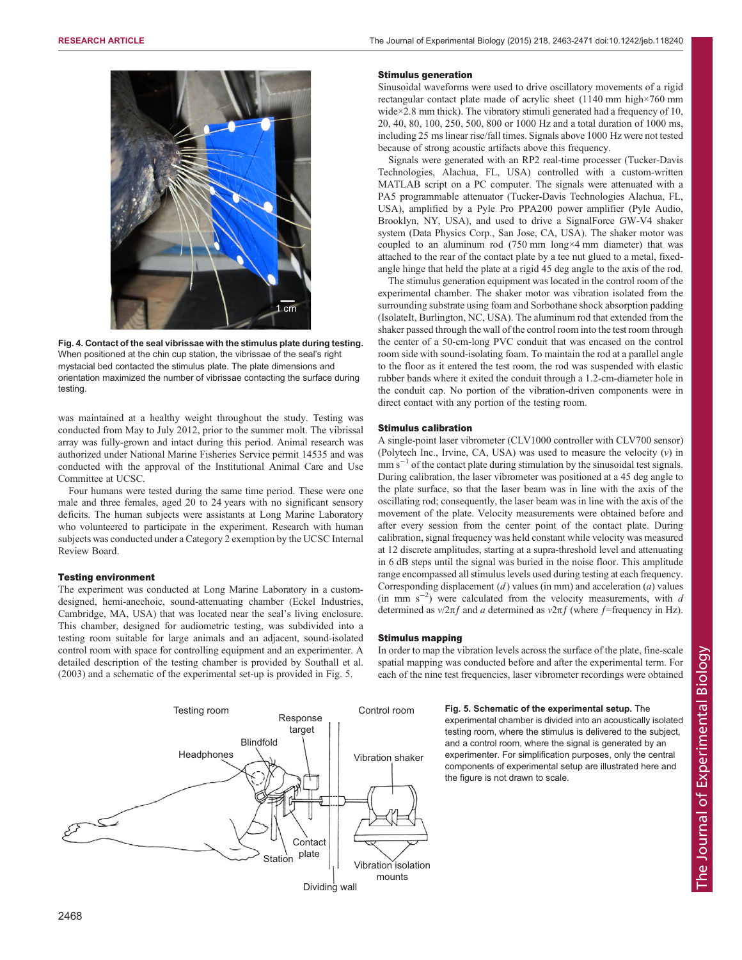<span id="page-5-0"></span>

Fig. 4. Contact of the seal vibrissae with the stimulus plate during testing. When positioned at the chin cup station, the vibrissae of the seal's right mystacial bed contacted the stimulus plate. The plate dimensions and orientation maximized the number of vibrissae contacting the surface during testing.

was maintained at a healthy weight throughout the study. Testing was conducted from May to July 2012, prior to the summer molt. The vibrissal array was fully-grown and intact during this period. Animal research was authorized under National Marine Fisheries Service permit 14535 and was conducted with the approval of the Institutional Animal Care and Use Committee at UCSC.

Four humans were tested during the same time period. These were one male and three females, aged 20 to 24 years with no significant sensory deficits. The human subjects were assistants at Long Marine Laboratory who volunteered to participate in the experiment. Research with human subjects was conducted under a Category 2 exemption by the UCSC Internal Review Board.

#### Testing environment

The experiment was conducted at Long Marine Laboratory in a customdesigned, hemi-anechoic, sound-attenuating chamber (Eckel Industries, Cambridge, MA, USA) that was located near the seal's living enclosure. This chamber, designed for audiometric testing, was subdivided into a testing room suitable for large animals and an adjacent, sound-isolated control room with space for controlling equipment and an experimenter. A detailed description of the testing chamber is provided by [Southall et al.](#page-8-0) [\(2003\)](#page-8-0) and a schematic of the experimental set-up is provided in Fig. 5.

#### Stimulus generation

Sinusoidal waveforms were used to drive oscillatory movements of a rigid rectangular contact plate made of acrylic sheet (1140 mm high×760 mm wide×2.8 mm thick). The vibratory stimuli generated had a frequency of 10, 20, 40, 80, 100, 250, 500, 800 or 1000 Hz and a total duration of 1000 ms, including 25 ms linear rise/fall times. Signals above 1000 Hz were not tested because of strong acoustic artifacts above this frequency.

Signals were generated with an RP2 real-time processer (Tucker-Davis Technologies, Alachua, FL, USA) controlled with a custom-written MATLAB script on a PC computer. The signals were attenuated with a PA5 programmable attenuator (Tucker-Davis Technologies Alachua, FL, USA), amplified by a Pyle Pro PPA200 power amplifier (Pyle Audio, Brooklyn, NY, USA), and used to drive a SignalForce GW-V4 shaker system (Data Physics Corp., San Jose, CA, USA). The shaker motor was coupled to an aluminum rod (750 mm long×4 mm diameter) that was attached to the rear of the contact plate by a tee nut glued to a metal, fixedangle hinge that held the plate at a rigid 45 deg angle to the axis of the rod.

The stimulus generation equipment was located in the control room of the experimental chamber. The shaker motor was vibration isolated from the surrounding substrate using foam and Sorbothane shock absorption padding (IsolateIt, Burlington, NC, USA). The aluminum rod that extended from the shaker passed through the wall of the control room into the test room through the center of a 50-cm-long PVC conduit that was encased on the control room side with sound-isolating foam. To maintain the rod at a parallel angle to the floor as it entered the test room, the rod was suspended with elastic rubber bands where it exited the conduit through a 1.2-cm-diameter hole in the conduit cap. No portion of the vibration-driven components were in direct contact with any portion of the testing room.

#### Stimulus calibration

A single-point laser vibrometer (CLV1000 controller with CLV700 sensor) (Polytech Inc., Irvine, CA, USA) was used to measure the velocity  $(v)$  in mm  $s^{-1}$  of the contact plate during stimulation by the sinusoidal test signals. During calibration, the laser vibrometer was positioned at a 45 deg angle to the plate surface, so that the laser beam was in line with the axis of the oscillating rod; consequently, the laser beam was in line with the axis of the movement of the plate. Velocity measurements were obtained before and after every session from the center point of the contact plate. During calibration, signal frequency was held constant while velocity was measured at 12 discrete amplitudes, starting at a supra-threshold level and attenuating in 6 dB steps until the signal was buried in the noise floor. This amplitude range encompassed all stimulus levels used during testing at each frequency. Corresponding displacement  $(d)$  values (in mm) and acceleration  $(a)$  values (in mm s<sup>-2</sup>) were calculated from the velocity measurements, with  $d$ determined as  $v/2\pi f$  and a determined as  $v/2\pi f$  (where f=frequency in Hz).

#### Stimulus mapping

In order to map the vibration levels across the surface of the plate, fine-scale spatial mapping was conducted before and after the experimental term. For each of the nine test frequencies, laser vibrometer recordings were obtained



## Fig. 5. Schematic of the experimental setup. The

experimental chamber is divided into an acoustically isolated testing room, where the stimulus is delivered to the subject, and a control room, where the signal is generated by an experimenter. For simplification purposes, only the central components of experimental setup are illustrated here and the figure is not drawn to scale.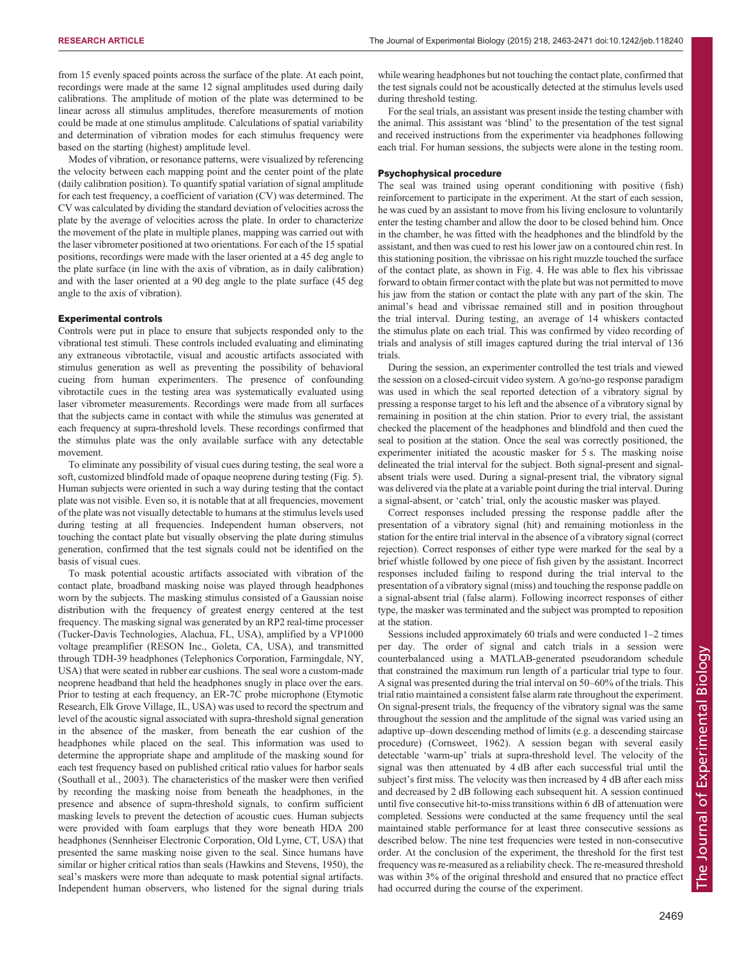from 15 evenly spaced points across the surface of the plate. At each point, recordings were made at the same 12 signal amplitudes used during daily calibrations. The amplitude of motion of the plate was determined to be linear across all stimulus amplitudes, therefore measurements of motion could be made at one stimulus amplitude. Calculations of spatial variability and determination of vibration modes for each stimulus frequency were based on the starting (highest) amplitude level.

Modes of vibration, or resonance patterns, were visualized by referencing the velocity between each mapping point and the center point of the plate (daily calibration position). To quantify spatial variation of signal amplitude for each test frequency, a coefficient of variation (CV) was determined. The CV was calculated by dividing the standard deviation of velocities across the plate by the average of velocities across the plate. In order to characterize the movement of the plate in multiple planes, mapping was carried out with the laser vibrometer positioned at two orientations. For each of the 15 spatial positions, recordings were made with the laser oriented at a 45 deg angle to the plate surface (in line with the axis of vibration, as in daily calibration) and with the laser oriented at a 90 deg angle to the plate surface (45 deg angle to the axis of vibration).

#### Experimental controls

Controls were put in place to ensure that subjects responded only to the vibrational test stimuli. These controls included evaluating and eliminating any extraneous vibrotactile, visual and acoustic artifacts associated with stimulus generation as well as preventing the possibility of behavioral cueing from human experimenters. The presence of confounding vibrotactile cues in the testing area was systematically evaluated using laser vibrometer measurements. Recordings were made from all surfaces that the subjects came in contact with while the stimulus was generated at each frequency at supra-threshold levels. These recordings confirmed that the stimulus plate was the only available surface with any detectable movement.

To eliminate any possibility of visual cues during testing, the seal wore a soft, customized blindfold made of opaque neoprene during testing ([Fig. 5](#page-5-0)). Human subjects were oriented in such a way during testing that the contact plate was not visible. Even so, it is notable that at all frequencies, movement of the plate was not visually detectable to humans at the stimulus levels used during testing at all frequencies. Independent human observers, not touching the contact plate but visually observing the plate during stimulus generation, confirmed that the test signals could not be identified on the basis of visual cues.

To mask potential acoustic artifacts associated with vibration of the contact plate, broadband masking noise was played through headphones worn by the subjects. The masking stimulus consisted of a Gaussian noise distribution with the frequency of greatest energy centered at the test frequency. The masking signal was generated by an RP2 real-time processer (Tucker-Davis Technologies, Alachua, FL, USA), amplified by a VP1000 voltage preamplifier (RESON Inc., Goleta, CA, USA), and transmitted through TDH-39 headphones (Telephonics Corporation, Farmingdale, NY, USA) that were seated in rubber ear cushions. The seal wore a custom-made neoprene headband that held the headphones snugly in place over the ears. Prior to testing at each frequency, an ER-7C probe microphone (Etymotic Research, Elk Grove Village, IL, USA) was used to record the spectrum and level of the acoustic signal associated with supra-threshold signal generation in the absence of the masker, from beneath the ear cushion of the headphones while placed on the seal. This information was used to determine the appropriate shape and amplitude of the masking sound for each test frequency based on published critical ratio values for harbor seals ([Southall et al., 2003\)](#page-8-0). The characteristics of the masker were then verified by recording the masking noise from beneath the headphones, in the presence and absence of supra-threshold signals, to confirm sufficient masking levels to prevent the detection of acoustic cues. Human subjects were provided with foam earplugs that they wore beneath HDA 200 headphones (Sennheiser Electronic Corporation, Old Lyme, CT, USA) that presented the same masking noise given to the seal. Since humans have similar or higher critical ratios than seals [\(Hawkins and Stevens, 1950\)](#page-8-0), the seal's maskers were more than adequate to mask potential signal artifacts. Independent human observers, who listened for the signal during trials

while wearing headphones but not touching the contact plate, confirmed that the test signals could not be acoustically detected at the stimulus levels used during threshold testing.

For the seal trials, an assistant was present inside the testing chamber with the animal. This assistant was 'blind' to the presentation of the test signal and received instructions from the experimenter via headphones following each trial. For human sessions, the subjects were alone in the testing room.

#### Psychophysical procedure

The seal was trained using operant conditioning with positive (fish) reinforcement to participate in the experiment. At the start of each session, he was cued by an assistant to move from his living enclosure to voluntarily enter the testing chamber and allow the door to be closed behind him. Once in the chamber, he was fitted with the headphones and the blindfold by the assistant, and then was cued to rest his lower jaw on a contoured chin rest. In this stationing position, the vibrissae on his right muzzle touched the surface of the contact plate, as shown in [Fig. 4.](#page-5-0) He was able to flex his vibrissae forward to obtain firmer contact with the plate but was not permitted to move his jaw from the station or contact the plate with any part of the skin. The animal's head and vibrissae remained still and in position throughout the trial interval. During testing, an average of 14 whiskers contacted the stimulus plate on each trial. This was confirmed by video recording of trials and analysis of still images captured during the trial interval of 136 trials.

During the session, an experimenter controlled the test trials and viewed the session on a closed-circuit video system. A go/no-go response paradigm was used in which the seal reported detection of a vibratory signal by pressing a response target to his left and the absence of a vibratory signal by remaining in position at the chin station. Prior to every trial, the assistant checked the placement of the headphones and blindfold and then cued the seal to position at the station. Once the seal was correctly positioned, the experimenter initiated the acoustic masker for 5 s. The masking noise delineated the trial interval for the subject. Both signal-present and signalabsent trials were used. During a signal-present trial, the vibratory signal was delivered via the plate at a variable point during the trial interval. During a signal-absent, or 'catch' trial, only the acoustic masker was played.

Correct responses included pressing the response paddle after the presentation of a vibratory signal (hit) and remaining motionless in the station for the entire trial interval in the absence of a vibratory signal (correct rejection). Correct responses of either type were marked for the seal by a brief whistle followed by one piece of fish given by the assistant. Incorrect responses included failing to respond during the trial interval to the presentation of a vibratory signal (miss) and touching the response paddle on a signal-absent trial (false alarm). Following incorrect responses of either type, the masker was terminated and the subject was prompted to reposition at the station.

Sessions included approximately 60 trials and were conducted 1–2 times per day. The order of signal and catch trials in a session were counterbalanced using a MATLAB-generated pseudorandom schedule that constrained the maximum run length of a particular trial type to four. A signal was presented during the trial interval on 50–60% of the trials. This trial ratio maintained a consistent false alarm rate throughout the experiment. On signal-present trials, the frequency of the vibratory signal was the same throughout the session and the amplitude of the signal was varied using an adaptive up–down descending method of limits (e.g. a descending staircase procedure) [\(Cornsweet, 1962\)](#page-7-0). A session began with several easily detectable 'warm-up' trials at supra-threshold level. The velocity of the signal was then attenuated by 4 dB after each successful trial until the subject's first miss. The velocity was then increased by 4 dB after each miss and decreased by 2 dB following each subsequent hit. A session continued until five consecutive hit-to-miss transitions within 6 dB of attenuation were completed. Sessions were conducted at the same frequency until the seal maintained stable performance for at least three consecutive sessions as described below. The nine test frequencies were tested in non-consecutive order. At the conclusion of the experiment, the threshold for the first test frequency was re-measured as a reliability check. The re-measured threshold was within 3% of the original threshold and ensured that no practice effect had occurred during the course of the experiment.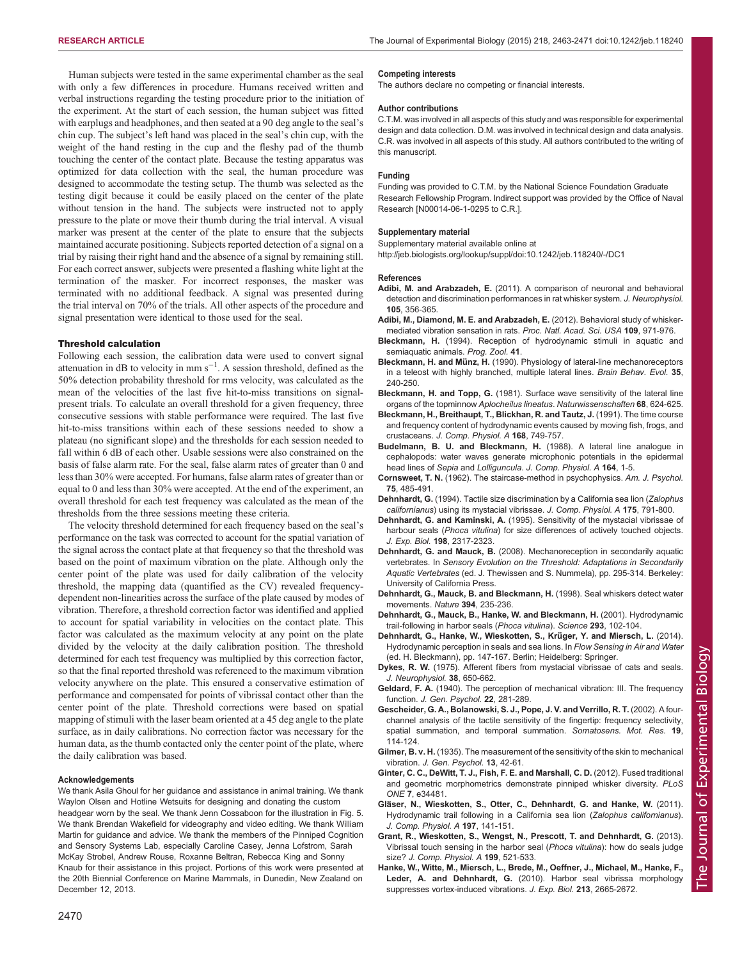<span id="page-7-0"></span>Human subjects were tested in the same experimental chamber as the seal with only a few differences in procedure. Humans received written and verbal instructions regarding the testing procedure prior to the initiation of the experiment. At the start of each session, the human subject was fitted with earplugs and headphones, and then seated at a 90 deg angle to the seal's chin cup. The subject's left hand was placed in the seal's chin cup, with the weight of the hand resting in the cup and the fleshy pad of the thumb touching the center of the contact plate. Because the testing apparatus was optimized for data collection with the seal, the human procedure was designed to accommodate the testing setup. The thumb was selected as the testing digit because it could be easily placed on the center of the plate without tension in the hand. The subjects were instructed not to apply pressure to the plate or move their thumb during the trial interval. A visual marker was present at the center of the plate to ensure that the subjects maintained accurate positioning. Subjects reported detection of a signal on a trial by raising their right hand and the absence of a signal by remaining still. For each correct answer, subjects were presented a flashing white light at the termination of the masker. For incorrect responses, the masker was terminated with no additional feedback. A signal was presented during the trial interval on 70% of the trials. All other aspects of the procedure and signal presentation were identical to those used for the seal.

#### Threshold calculation

Following each session, the calibration data were used to convert signal attenuation in dB to velocity in mm  $s^{-1}$ . A session threshold, defined as the 50% detection probability threshold for rms velocity, was calculated as the mean of the velocities of the last five hit-to-miss transitions on signalpresent trials. To calculate an overall threshold for a given frequency, three consecutive sessions with stable performance were required. The last five hit-to-miss transitions within each of these sessions needed to show a plateau (no significant slope) and the thresholds for each session needed to fall within 6 dB of each other. Usable sessions were also constrained on the basis of false alarm rate. For the seal, false alarm rates of greater than 0 and less than 30% were accepted. For humans, false alarm rates of greater than or equal to 0 and less than 30% were accepted. At the end of the experiment, an overall threshold for each test frequency was calculated as the mean of the thresholds from the three sessions meeting these criteria.

The velocity threshold determined for each frequency based on the seal's performance on the task was corrected to account for the spatial variation of the signal across the contact plate at that frequency so that the threshold was based on the point of maximum vibration on the plate. Although only the center point of the plate was used for daily calibration of the velocity threshold, the mapping data (quantified as the CV) revealed frequencydependent non-linearities across the surface of the plate caused by modes of vibration. Therefore, a threshold correction factor was identified and applied to account for spatial variability in velocities on the contact plate. This factor was calculated as the maximum velocity at any point on the plate divided by the velocity at the daily calibration position. The threshold determined for each test frequency was multiplied by this correction factor, so that the final reported threshold was referenced to the maximum vibration velocity anywhere on the plate. This ensured a conservative estimation of performance and compensated for points of vibrissal contact other than the center point of the plate. Threshold corrections were based on spatial mapping of stimuli with the laser beam oriented at a 45 deg angle to the plate surface, as in daily calibrations. No correction factor was necessary for the human data, as the thumb contacted only the center point of the plate, where the daily calibration was based.

#### Acknowledgements

We thank Asila Ghoul for her guidance and assistance in animal training. We thank Waylon Olsen and Hotline Wetsuits for designing and donating the custom headgear worn by the seal. We thank Jenn Cossaboon for the illustration in Fig. 5. We thank Brendan Wakefield for videography and video editing. We thank William Martin for guidance and advice. We thank the members of the Pinniped Cognition and Sensory Systems Lab, especially Caroline Casey, Jenna Lofstrom, Sarah McKay Strobel, Andrew Rouse, Roxanne Beltran, Rebecca King and Sonny Knaub for their assistance in this project. Portions of this work were presented at the 20th Biennial Conference on Marine Mammals, in Dunedin, New Zealand on December 12, 2013.

The authors declare no competing or financial interests.

#### Author contributions

C.T.M. was involved in all aspects of this study and was responsible for experimental design and data collection. D.M. was involved in technical design and data analysis. C.R. was involved in all aspects of this study. All authors contributed to the writing of this manuscript.

#### Funding

Funding was provided to C.T.M. by the National Science Foundation Graduate Research Fellowship Program. Indirect support was provided by the Office of Naval Research [N00014-06-1-0295 to C.R.].

#### Supplementary material

Supplementary material available online at

<http://jeb.biologists.org/lookup/suppl/doi:10.1242/jeb.118240/-/DC1>

#### References

- Adibi, M. and Arabzadeh, E. [\(2011\). A comparison of neuronal and behavioral](http://dx.doi.org/10.1152/jn.00794.2010) [detection and discrimination performances in rat whisker system.](http://dx.doi.org/10.1152/jn.00794.2010) J. Neurophysiol. 105[, 356-365.](http://dx.doi.org/10.1152/jn.00794.2010)
- [Adibi, M., Diamond, M. E. and Arabzadeh, E.](http://dx.doi.org/10.1073/pnas.1116726109) (2012). Behavioral study of whisker[mediated vibration sensation in rats.](http://dx.doi.org/10.1073/pnas.1116726109) Proc. Natl. Acad. Sci. USA 109, 971-976.
- Bleckmann, H. (1994). Reception of hydrodynamic stimuli in aquatic and semiaquatic animals. Prog. Zool. 41.
- Bleckmann, H. and Münz, H. [\(1990\). Physiology of lateral-line mechanoreceptors](http://dx.doi.org/10.1159/000115870) [in a teleost with highly branched, multiple lateral lines.](http://dx.doi.org/10.1159/000115870) Brain Behav. Evol. 35, [240-250.](http://dx.doi.org/10.1159/000115870)
- Bleckmann, H. and Topp, G. [\(1981\). Surface wave sensitivity of the lateral line](http://dx.doi.org/10.1007/BF00398622) [organs of the topminnow](http://dx.doi.org/10.1007/BF00398622) Aplocheilus lineatus. Naturwissenschaften 68, 624-625.
- [Bleckmann, H., Breithaupt, T., Blickhan, R. and Tautz, J.](http://dx.doi.org/10.1007/bf00224363) (1991). The time course [and frequency content of hydrodynamic events caused by moving fish, frogs, and](http://dx.doi.org/10.1007/bf00224363) crustaceans. [J. Comp. Physiol. A](http://dx.doi.org/10.1007/bf00224363) 168, 749-757.
- [Budelmann, B. U. and Bleckmann, H.](http://dx.doi.org/10.1007/BF00612711) (1988). A lateral line analogue in [cephalopods: water waves generate microphonic potentials in the epidermal](http://dx.doi.org/10.1007/BF00612711) head lines of Sepia and Lolliguncula. [J. Comp. Physiol. A](http://dx.doi.org/10.1007/BF00612711) 164, 1-5.
- Cornsweet, T. N. [\(1962\). The staircase-method in psychophysics.](http://dx.doi.org/10.2307/1419876) Am. J. Psychol. 75[, 485-491.](http://dx.doi.org/10.2307/1419876)
- Dehnhardt, G. [\(1994\). Tactile size discrimination by a California sea lion \(](http://dx.doi.org/10.1007/BF00191851)Zalophus californianus[\) using its mystacial vibrissae.](http://dx.doi.org/10.1007/BF00191851) J. Comp. Physiol. A 175, 791-800.
- Dehnhardt, G. and Kaminski, A. (1995). Sensitivity of the mystacial vibrissae of harbour seals (Phoca vitulina) for size differences of actively touched objects. J. Exp. Biol. 198, 2317-2323.
- Dehnhardt, G. and Mauck, B. (2008). Mechanoreception in secondarily aquatic vertebrates. In Sensory Evolution on the Threshold: Adaptations in Secondarily Aquatic Vertebrates (ed. J. Thewissen and S. Nummela), pp. 295-314. Berkeley: University of California Press.
- [Dehnhardt, G., Mauck, B. and Bleckmann, H.](http://dx.doi.org/10.1038/28303) (1998). Seal whiskers detect water [movements.](http://dx.doi.org/10.1038/28303) Nature 394, 235-236.
- [Dehnhardt, G., Mauck, B., Hanke, W. and Bleckmann, H.](http://dx.doi.org/10.1126/science.1060514) (2001). Hydrodynamic [trail-following in harbor seals \(](http://dx.doi.org/10.1126/science.1060514)Phoca vitulina). Science 293, 102-104.
- Dehnhardt, G., Hanke, W., Wieskotten, S., Krüger, Y. and Miersch, L. (2014). Hydrodynamic perception in seals and sea lions. In Flow Sensing in Air and Water (ed. H. Bleckmann), pp. 147-167. Berlin; Heidelberg: Springer.
- Dykes, R. W. (1975). Afferent fibers from mystacial vibrissae of cats and seals. J. Neurophysiol. 38, 650-662.
- Geldard, F. A. [\(1940\). The perception of mechanical vibration: III. The frequency](http://dx.doi.org/10.1080/00221309.1940.9710035) function. [J. Gen. Psychol.](http://dx.doi.org/10.1080/00221309.1940.9710035) 22, 281-289.
- [Gescheider, G. A., Bolanowski, S. J., Pope, J. V. and Verrillo, R. T.](http://dx.doi.org/10.1080/08990220220131505) (2002). A four[channel analysis of the tactile sensitivity of the fingertip: frequency selectivity,](http://dx.doi.org/10.1080/08990220220131505) [spatial summation, and temporal summation.](http://dx.doi.org/10.1080/08990220220131505) Somatosens. Mot. Res. 19, [114-124.](http://dx.doi.org/10.1080/08990220220131505)
- Gilmer, B. v. H. [\(1935\). The measurement of the sensitivity of the skin to mechanical](http://dx.doi.org/10.1080/00221309.1935.9917866) vibration. [J. Gen. Psychol.](http://dx.doi.org/10.1080/00221309.1935.9917866) 13, 42-61.
- [Ginter, C. C., DeWitt, T. J., Fish, F. E. and Marshall, C. D.](http://dx.doi.org/10.1371/journal.pone.0034481) (2012). Fused traditional [and geometric morphometrics demonstrate pinniped whisker diversity.](http://dx.doi.org/10.1371/journal.pone.0034481) PLoS ONE 7[, e34481.](http://dx.doi.org/10.1371/journal.pone.0034481)
- Glä[ser, N., Wieskotten, S., Otter, C., Dehnhardt, G. and Hanke, W.](http://dx.doi.org/10.1007/s00359-010-0594-5) (2011). [Hydrodynamic trail following in a California sea lion \(](http://dx.doi.org/10.1007/s00359-010-0594-5)Zalophus californianus). [J. Comp. Physiol. A](http://dx.doi.org/10.1007/s00359-010-0594-5) 197, 141-151.
- [Grant, R., Wieskotten, S., Wengst, N., Prescott, T. and Dehnhardt, G.](http://dx.doi.org/10.1007/s00359-013-0797-7) (2013). [Vibrissal touch sensing in the harbor seal \(](http://dx.doi.org/10.1007/s00359-013-0797-7)Phoca vitulina): how do seals judge size? [J. Comp. Physiol. A](http://dx.doi.org/10.1007/s00359-013-0797-7) 199, 521-533.
- [Hanke, W., Witte, M., Miersch, L., Brede, M., Oeffner, J., Michael, M., Hanke, F.,](http://dx.doi.org/10.1242/jeb.043216) Leder, A. and Dehnhardt, G. [\(2010\). Harbor seal vibrissa morphology](http://dx.doi.org/10.1242/jeb.043216) [suppresses vortex-induced vibrations.](http://dx.doi.org/10.1242/jeb.043216) J. Exp. Biol. 213, 2665-2672.